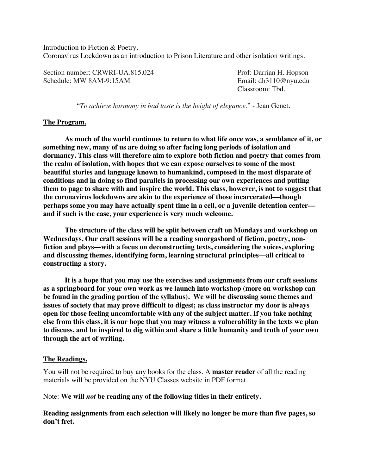Introduction to Fiction & Poetry. Coronavirus Lockdown as an introduction to Prison Literature and other isolation writings.

Section number: CRWRI-UA.815.024 Prof: Darrian H. Hopson Schedule: MW 8AM-9:15AM Email: dh3110@nyu.edu

Classroom: Tbd.

"*To achieve harmony in bad taste is the height of elegance*." - Jean Genet.

#### **The Program.**

**As much of the world continues to return to what life once was, a semblance of it, or something new, many of us are doing so after facing long periods of isolation and dormancy. This class will therefore aim to explore both fiction and poetry that comes from the realm of isolation, with hopes that we can expose ourselves to some of the most beautiful stories and language known to humankind, composed in the most disparate of conditions and in doing so find parallels in processing our own experiences and putting them to page to share with and inspire the world. This class, however, is not to suggest that the coronavirus lockdowns are akin to the experience of those incarcerated––though perhaps some you may have actually spent time in a cell, or a juvenile detention center–– and if such is the case, your experience is very much welcome.** 

**The structure of the class will be split between craft on Mondays and workshop on Wednesdays. Our craft sessions will be a reading smorgasbord of fiction, poetry, nonfiction and plays––with a focus on deconstructing texts, considering the voices, exploring and discussing themes, identifying form, learning structural principles––all critical to constructing a story.** 

**It is a hope that you may use the exercises and assignments from our craft sessions as a springboard for your own work as we launch into workshop (more on workshop can be found in the grading portion of the syllabus). We will be discussing some themes and issues of society that may prove difficult to digest; as class instructor my door is always open for those feeling uncomfortable with any of the subject matter. If you take nothing else from this class, it is our hope that you may witness a vulnerability in the texts we plan to discuss, and be inspired to dig within and share a little humanity and truth of your own through the art of writing.** 

#### **The Readings.**

You will not be required to buy any books for the class. A **master reader** of all the reading materials will be provided on the NYU Classes website in PDF format.

Note: **We will** *not* **be reading any of the following titles in their entirety.** 

**Reading assignments from each selection will likely no longer be more than five pages, so don't fret.**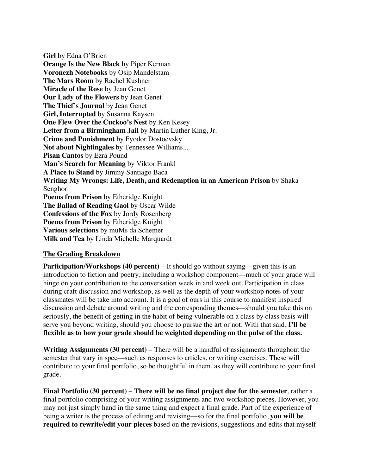**Girl** by Edna O'Brien **Orange Is the New Black** by Piper Kerman **Voronezh Notebooks** by Osip Mandelstam **The Mars Room** by Rachel Kushner **Miracle of the Rose** by Jean Genet **Our Lady of the Flowers** by Jean Genet **The Thief's Journal** by Jean Genet **Girl, Interrupted** by Susanna Kaysen **One Flew Over the Cuckoo's Nest** by Ken Kesey **Letter from a Birmingham Jail** by Martin Luther King, Jr. **Crime and Punishment** by Fyodor Dostoevsky **Not about Nightingales** by Tennessee Williams... **Pisan Cantos** by Ezra Pound **Man's Search for Meaning** by Viktor Frankl **A Place to Stand** by Jimmy Santiago Baca **Writing My Wrongs: Life, Death, and Redemption in an American Prison** by Shaka Senghor **Poems from Prison** by Etheridge Knight **The Ballad of Reading Gaol** by Oscar Wilde **Confessions of the Fox** by Jordy Rosenberg **Poems from Prison** by Etheridge Knight **Various selections** by muMs da Schemer **Milk and Tea** by Linda Michelle Marquardt

# **The Grading Breakdown**

**Participation/Workshops (40 percent)** – It should go without saying—given this is an introduction to fiction and poetry, including a workshop component––much of your grade will hinge on your contribution to the conversation week in and week out. Participation in class during craft discussion and workshop, as well as the depth of your workshop notes of your classmates will be take into account. It is a goal of ours in this course to manifest inspired discussion and debate around writing and the corresponding themes––should you take this on seriously, the benefit of getting in the habit of being vulnerable on a class by class basis will serve you beyond writing, should you choose to pursue the art or not. With that said, **I'll be flexible as to how your grade should be weighted depending on the pulse of the class.**

**Writing Assignments (30 percent)** – There will be a handful of assignments throughout the semester that vary in spec––such as responses to articles, or writing exercises. These will contribute to your final portfolio, so be thoughtful in them, as they will contribute to your final grade.

**Final Portfolio (30 percent)** – **There will be no final project due for the semester**, rather a final portfolio comprising of your writing assignments and two workshop pieces. However, you may not just simply hand in the same thing and expect a final grade. Part of the experience of being a writer is the process of editing and revising––so for the final portfolio, **you will be required to rewrite/edit your pieces** based on the revisions, suggestions and edits that myself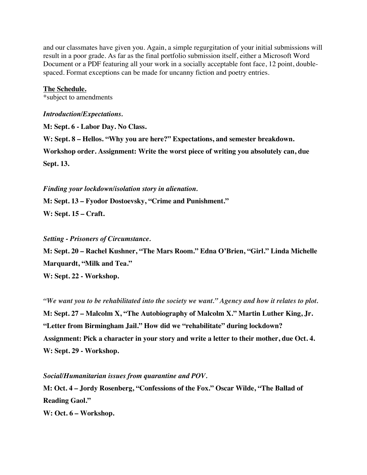and our classmates have given you. Again, a simple regurgitation of your initial submissions will result in a poor grade. As far as the final portfolio submission itself, either a Microsoft Word Document or a PDF featuring all your work in a socially acceptable font face, 12 point, doublespaced. Format exceptions can be made for uncanny fiction and poetry entries.

## **The Schedule.**

\*subject to amendments

#### *Introduction/Expectations.*

**M: Sept. 6 - Labor Day. No Class.**

**W: Sept. 8 – Hellos. "Why you are here?" Expectations, and semester breakdown. Workshop order. Assignment: Write the worst piece of writing you absolutely can, due Sept. 13.** 

*Finding your lockdown/isolation story in alienation.*

**M: Sept. 13 – Fyodor Dostoevsky, "Crime and Punishment."**

**W: Sept. 15 – Craft.**

## *Setting - Prisoners of Circumstance.*

**M: Sept. 20 – Rachel Kushner, "The Mars Room." Edna O'Brien, "Girl." Linda Michelle Marquardt, "Milk and Tea."**

**W: Sept. 22 - Workshop.**

*"We want you to be rehabilitated into the society we want." Agency and how it relates to plot.*

**M: Sept. 27 – Malcolm X, "The Autobiography of Malcolm X." Martin Luther King, Jr. "Letter from Birmingham Jail." How did we "rehabilitate" during lockdown? Assignment: Pick a character in your story and write a letter to their mother, due Oct. 4. W: Sept. 29 - Workshop.**

### *Social/Humanitarian issues from quarantine and POV.*

**M: Oct. 4 – Jordy Rosenberg, "Confessions of the Fox." Oscar Wilde, "The Ballad of Reading Gaol."**

**W: Oct. 6 – Workshop.**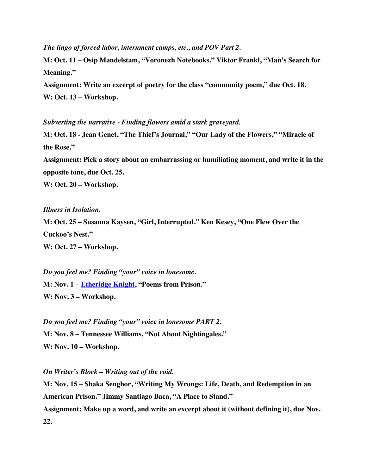*The lingo of forced labor, internment camps, etc., and POV Part 2.*

**M: Oct. 11 – Osip Mandelstam, "Voronezh Notebooks." Viktor Frankl, "Man's Search for Meaning."**

**Assignment: Write an excerpt of poetry for the class "community poem," due Oct. 18. W: Oct. 13 – Workshop.**

*Subverting the narrative - Finding flowers amid a stark graveyard.*

**M: Oct. 18 - Jean Genet, "The Thief's Journal," "Our Lady of the Flowers," "Miracle of the Rose."**

**Assignment: Pick a story about an embarrassing or humiliating moment, and write it in the opposite tone, due Oct. 25.**

**W: Oct. 20 – Workshop.**

*Illness in Isolation.*

**M: Oct. 25 – Susanna Kaysen, "Girl, Interrupted." Ken Kesey, "One Flew Over the Cuckoo's Nest."**

**W: Oct. 27 – Workshop.**

*Do you feel me? Finding "your" voice in lonesome.* **M: Nov. 1 – Etheridge Knight, "Poems from Prison." W: Nov. 3 – Workshop.**

*Do you feel me? Finding "your" voice in lonesome PART 2.* **M: Nov. 8 – Tennessee Williams, "Not About Nightingales." W: Nov. 10 – Workshop.**

*On Writer's Block – Writing out of the void.*

**M: Nov. 15 – Shaka Senghor, "Writing My Wrongs: Life, Death, and Redemption in an American Prison." Jimmy Santiago Baca, "A Place to Stand." Assignment: Make up a word, and write an excerpt about it (without defining it), due Nov. 22.**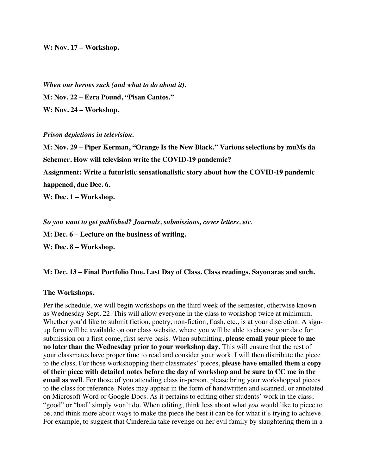**W: Nov. 17 – Workshop.**

*When our heroes suck (and what to do about it).* **M: Nov. 22 – Ezra Pound, "Pisan Cantos." W: Nov. 24 – Workshop.**

#### *Prison depictions in television.*

**M: Nov. 29 – Piper Kerman, "Orange Is the New Black." Various selections by muMs da Schemer. How will television write the COVID-19 pandemic? Assignment: Write a futuristic sensationalistic story about how the COVID-19 pandemic happened, due Dec. 6.**

**W: Dec. 1 – Workshop.**

*So you want to get published? Journals, submissions, cover letters, etc.*

**M: Dec. 6 – Lecture on the business of writing.**

**W: Dec. 8 – Workshop.**

### **M: Dec. 13 – Final Portfolio Due. Last Day of Class. Class readings. Sayonaras and such.**

### **The Workshops.**

Per the schedule, we will begin workshops on the third week of the semester, otherwise known as Wednesday Sept. 22. This will allow everyone in the class to workshop twice at minimum. Whether you'd like to submit fiction, poetry, non-fiction, flash, etc., is at your discretion. A signup form will be available on our class website, where you will be able to choose your date for submission on a first come, first serve basis. When submitting, **please email your piece to me no later than the Wednesday prior to your workshop day**. This will ensure that the rest of your classmates have proper time to read and consider your work. I will then distribute the piece to the class. For those workshopping their classmates' pieces, **please have emailed them a copy of their piece with detailed notes before the day of workshop and be sure to CC me in the email as well**. For those of you attending class in-person, please bring your workshopped pieces to the class for reference. Notes may appear in the form of handwritten and scanned, or annotated on Microsoft Word or Google Docs. As it pertains to editing other students' work in the class, "good" or "bad" simply won't do. When editing, think less about what *you* would like to piece to be, and think more about ways to make the piece the best it can be for what it's trying to achieve. For example, to suggest that Cinderella take revenge on her evil family by slaughtering them in a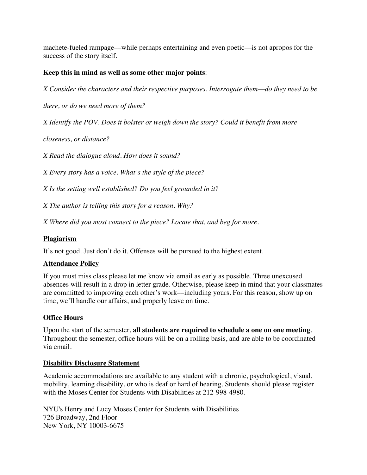machete-fueled rampage––while perhaps entertaining and even poetic––is not apropos for the success of the story itself.

# **Keep this in mind as well as some other major points**:

*X Consider the characters and their respective purposes. Interrogate them––do they need to be* 

*there, or do we need more of them?*

*X Identify the POV. Does it bolster or weigh down the story? Could it benefit from more* 

*closeness, or distance?*

*X Read the dialogue aloud. How does it sound?*

*X Every story has a voice. What's the style of the piece?*

*X Is the setting well established? Do you feel grounded in it?*

*X The author is telling this story for a reason. Why?*

*X Where did you most connect to the piece? Locate that, and beg for more.*

# **Plagiarism**

It's not good. Just don't do it. Offenses will be pursued to the highest extent.

# **Attendance Policy**

If you must miss class please let me know via email as early as possible. Three unexcused absences will result in a drop in letter grade. Otherwise, please keep in mind that your classmates are committed to improving each other's work––including yours. For this reason, show up on time, we'll handle our affairs, and properly leave on time.

# **Office Hours**

Upon the start of the semester, **all students are required to schedule a one on one meeting**. Throughout the semester, office hours will be on a rolling basis, and are able to be coordinated via email.

# **Disability Disclosure Statement**

Academic accommodations are available to any student with a chronic, psychological, visual, mobility, learning disability, or who is deaf or hard of hearing. Students should please register with the Moses Center for Students with Disabilities at 212-998-4980.

NYU's Henry and Lucy Moses Center for Students with Disabilities 726 Broadway, 2nd Floor New York, NY 10003-6675